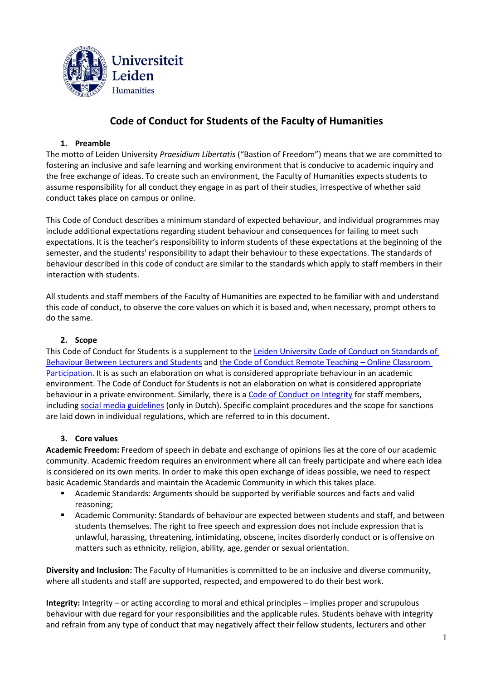

# **Code of Conduct for Students of the Faculty of Humanities**

## **1. Preamble**

The motto of Leiden University *Praesidium Libertatis* ("Bastion of Freedom") means that we are committed to fostering an inclusive and safe learning and working environment that is conducive to academic inquiry and the free exchange of ideas. To create such an environment, the Faculty of Humanities expects students to assume responsibility for all conduct they engage in as part of their studies, irrespective of whether said conduct takes place on campus or online.

This Code of Conduct describes a minimum standard of expected behaviour, and individual programmes may include additional expectations regarding student behaviour and consequences for failing to meet such expectations. It is the teacher's responsibility to inform students of these expectations at the beginning of the semester, and the students' responsibility to adapt their behaviour to these expectations. The standards of behaviour described in this code of conduct are similar to the standards which apply to staff members in their interaction with students.

All students and staff members of the Faculty of Humanities are expected to be familiar with and understand this code of conduct, to observe the core values on which it is based and, when necessary, prompt others to do the same.

#### **2. Scope**

This Code of Conduct for Students is a supplement to the [Leiden University Code of Conduct on Standards of](https://www.organisatiegids.universiteitleiden.nl/en/regulations/general/code-of-conduct-on-standards-of-behaviour)  [Behaviour Between Lecturers and Students](https://www.organisatiegids.universiteitleiden.nl/en/regulations/general/code-of-conduct-on-standards-of-behaviour) and [the Code of Conduct Remote Teaching](https://www.organisatiegids.universiteitleiden.nl/en/regulations/general/code-of-conduct-remote-teaching) – Online Classroom [Participation.](https://www.organisatiegids.universiteitleiden.nl/en/regulations/general/code-of-conduct-remote-teaching) It is as such an elaboration on what is considered appropriate behaviour in an academic environment. The Code of Conduct for Students is not an elaboration on what is considered appropriate behaviour in a private environment. Similarly, there is [a Code of Conduct on Integrity](https://www.staff.universiteitleiden.nl/human-resources/hr-policy-and-code-of-conduct/code-of-conduct/code-of-conduct-integrity/humanities/) for staff members, including [social media guidelines](https://www.medewerkers.universiteitleiden.nl/binaries/content/assets/ul2staff/reglementen/communicatie-en-marketing/gedragscode-social-media-2012.pdf) (only in Dutch). Specific complaint procedures and the scope for sanctions are laid down in individual regulations, which are referred to in this document.

#### **3. Core values**

**Academic Freedom:** Freedom of speech in debate and exchange of opinions lies at the core of our academic community. Academic freedom requires an environment where all can freely participate and where each idea is considered on its own merits. In order to make this open exchange of ideas possible, we need to respect basic Academic Standards and maintain the Academic Community in which this takes place.

- Academic Standards: Arguments should be supported by verifiable sources and facts and valid reasoning;
- Academic Community: Standards of behaviour are expected between students and staff, and between students themselves. The right to free speech and expression does not include expression that is unlawful, harassing, threatening, intimidating, obscene, incites disorderly conduct or is offensive on matters such as ethnicity, religion, ability, age, gender or sexual orientation.

**Diversity and Inclusion:** The Faculty of Humanities is committed to be an inclusive and diverse community, where all students and staff are supported, respected, and empowered to do their best work.

**Integrity:** Integrity – or acting according to moral and ethical principles – implies proper and scrupulous behaviour with due regard for your responsibilities and the applicable rules. Students behave with integrity and refrain from any type of conduct that may negatively affect their fellow students, lecturers and other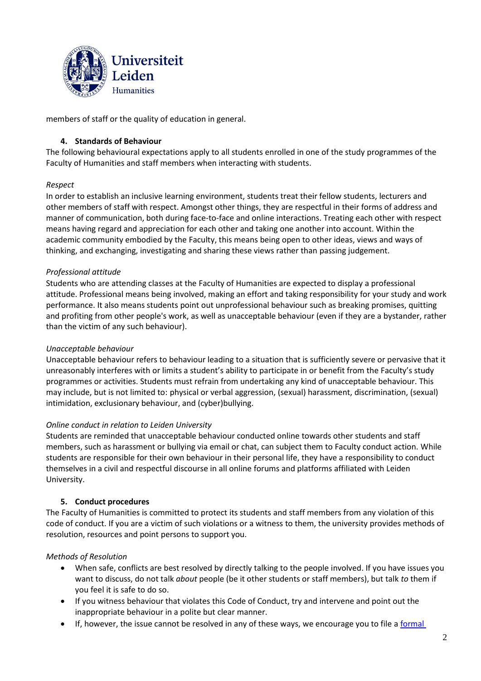

members of staff or the quality of education in general.

## **4. Standards of Behaviour**

The following behavioural expectations apply to all students enrolled in one of the study programmes of the Faculty of Humanities and staff members when interacting with students.

#### *Respect*

In order to establish an inclusive learning environment, students treat their fellow students, lecturers and other members of staff with respect. Amongst other things, they are respectful in their forms of address and manner of communication, both during face-to-face and online interactions. Treating each other with respect means having regard and appreciation for each other and taking one another into account. Within the academic community embodied by the Faculty, this means being open to other ideas, views and ways of thinking, and exchanging, investigating and sharing these views rather than passing judgement.

## *Professional attitude*

Students who are attending classes at the Faculty of Humanities are expected to display a professional attitude. Professional means being involved, making an effort and taking responsibility for your study and work performance. It also means students point out unprofessional behaviour such as breaking promises, quitting and profiting from other people's work, as well as unacceptable behaviour (even if they are a bystander, rather than the victim of any such behaviour).

#### *Unacceptable behaviour*

Unacceptable behaviour refers to behaviour leading to a situation that is sufficiently severe or pervasive that it unreasonably interferes with or limits a student's ability to participate in or benefit from the Faculty's study programmes or activities. Students must refrain from undertaking any kind of unacceptable behaviour. This may include, but is not limited to: physical or verbal aggression, (sexual) harassment, discrimination, (sexual) intimidation, exclusionary behaviour, and (cyber)bullying.

#### *Online conduct in relation to Leiden University*

Students are reminded that unacceptable behaviour conducted online towards other students and staff members, such as harassment or bullying via email or chat, can subject them to Faculty conduct action. While students are responsible for their own behaviour in their personal life, they have a responsibility to conduct themselves in a civil and respectful discourse in all online forums and platforms affiliated with Leiden University.

#### **5. Conduct procedures**

The Faculty of Humanities is committed to protect its students and staff members from any violation of this code of conduct. If you are a victim of such violations or a witness to them, the university provides methods of resolution, resources and point persons to support you.

# *Methods of Resolution*

- When safe, conflicts are best resolved by directly talking to the people involved. If you have issues you want to discuss, do not talk *about* people (be it other students or staff members), but talk *to* them if you feel it is safe to do so.
- If you witness behaviour that violates this Code of Conduct, try and intervene and point out the inappropriate behaviour in a polite but clear manner.
- If, however, the issue cannot be resolved in any of these ways, we encourage you to file [a formal](https://www.student.universiteitleiden.nl/en/study--studying/guidance--advice/complaints/complaints/humanities/)